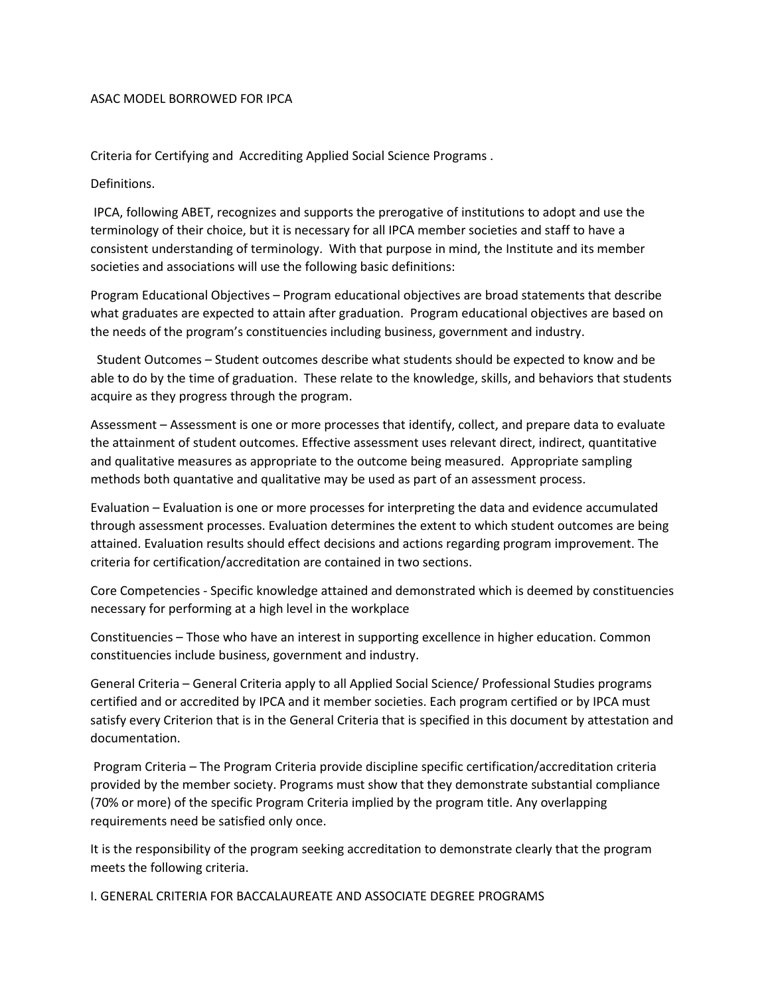#### ASAC MODEL BORROWED FOR IPCA

Criteria for Certifying and Accrediting Applied Social Science Programs .

#### Definitions.

IPCA, following ABET, recognizes and supports the prerogative of institutions to adopt and use the terminology of their choice, but it is necessary for all IPCA member societies and staff to have a consistent understanding of terminology. With that purpose in mind, the Institute and its member societies and associations will use the following basic definitions:

Program Educational Objectives – Program educational objectives are broad statements that describe what graduates are expected to attain after graduation. Program educational objectives are based on the needs of the program's constituencies including business, government and industry.

 Student Outcomes – Student outcomes describe what students should be expected to know and be able to do by the time of graduation. These relate to the knowledge, skills, and behaviors that students acquire as they progress through the program.

Assessment – Assessment is one or more processes that identify, collect, and prepare data to evaluate the attainment of student outcomes. Effective assessment uses relevant direct, indirect, quantitative and qualitative measures as appropriate to the outcome being measured. Appropriate sampling methods both quantative and qualitative may be used as part of an assessment process.

Evaluation – Evaluation is one or more processes for interpreting the data and evidence accumulated through assessment processes. Evaluation determines the extent to which student outcomes are being attained. Evaluation results should effect decisions and actions regarding program improvement. The criteria for certification/accreditation are contained in two sections.

Core Competencies - Specific knowledge attained and demonstrated which is deemed by constituencies necessary for performing at a high level in the workplace

Constituencies – Those who have an interest in supporting excellence in higher education. Common constituencies include business, government and industry.

General Criteria – General Criteria apply to all Applied Social Science/ Professional Studies programs certified and or accredited by IPCA and it member societies. Each program certified or by IPCA must satisfy every Criterion that is in the General Criteria that is specified in this document by attestation and documentation.

Program Criteria – The Program Criteria provide discipline specific certification/accreditation criteria provided by the member society. Programs must show that they demonstrate substantial compliance (70% or more) of the specific Program Criteria implied by the program title. Any overlapping requirements need be satisfied only once.

It is the responsibility of the program seeking accreditation to demonstrate clearly that the program meets the following criteria.

I. GENERAL CRITERIA FOR BACCALAUREATE AND ASSOCIATE DEGREE PROGRAMS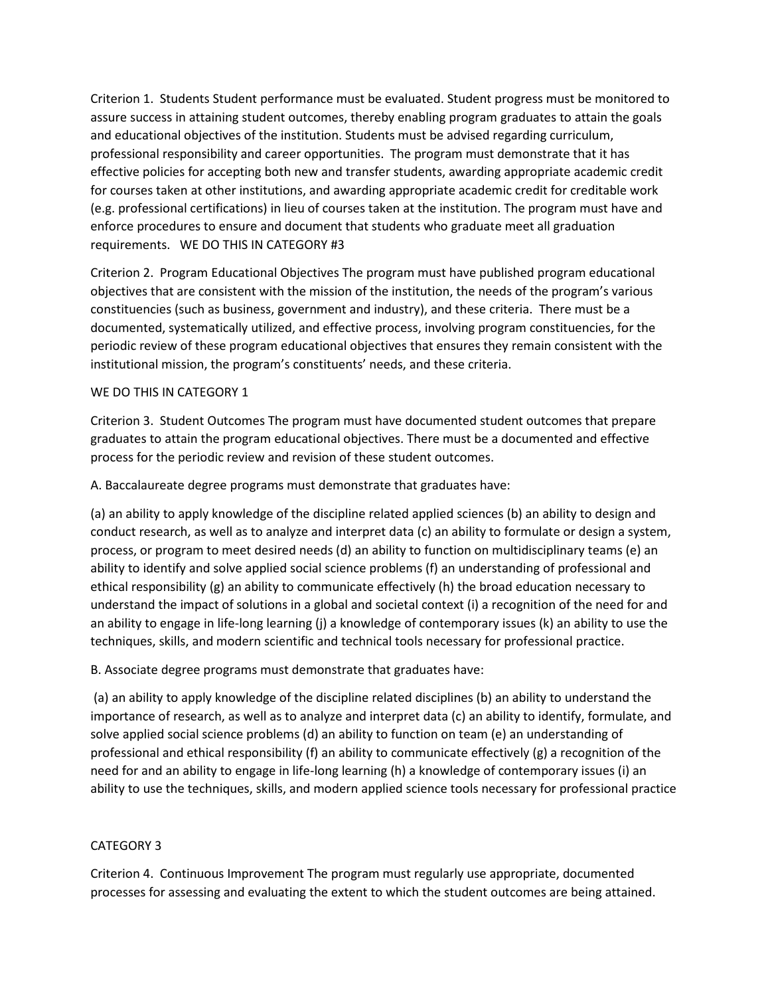Criterion 1. Students Student performance must be evaluated. Student progress must be monitored to assure success in attaining student outcomes, thereby enabling program graduates to attain the goals and educational objectives of the institution. Students must be advised regarding curriculum, professional responsibility and career opportunities. The program must demonstrate that it has effective policies for accepting both new and transfer students, awarding appropriate academic credit for courses taken at other institutions, and awarding appropriate academic credit for creditable work (e.g. professional certifications) in lieu of courses taken at the institution. The program must have and enforce procedures to ensure and document that students who graduate meet all graduation requirements. WE DO THIS IN CATEGORY #3

Criterion 2. Program Educational Objectives The program must have published program educational objectives that are consistent with the mission of the institution, the needs of the program's various constituencies (such as business, government and industry), and these criteria. There must be a documented, systematically utilized, and effective process, involving program constituencies, for the periodic review of these program educational objectives that ensures they remain consistent with the institutional mission, the program's constituents' needs, and these criteria.

# WE DO THIS IN CATEGORY 1

Criterion 3. Student Outcomes The program must have documented student outcomes that prepare graduates to attain the program educational objectives. There must be a documented and effective process for the periodic review and revision of these student outcomes.

A. Baccalaureate degree programs must demonstrate that graduates have:

(a) an ability to apply knowledge of the discipline related applied sciences (b) an ability to design and conduct research, as well as to analyze and interpret data (c) an ability to formulate or design a system, process, or program to meet desired needs (d) an ability to function on multidisciplinary teams (e) an ability to identify and solve applied social science problems (f) an understanding of professional and ethical responsibility (g) an ability to communicate effectively (h) the broad education necessary to understand the impact of solutions in a global and societal context (i) a recognition of the need for and an ability to engage in life-long learning (j) a knowledge of contemporary issues (k) an ability to use the techniques, skills, and modern scientific and technical tools necessary for professional practice.

B. Associate degree programs must demonstrate that graduates have:

(a) an ability to apply knowledge of the discipline related disciplines (b) an ability to understand the importance of research, as well as to analyze and interpret data (c) an ability to identify, formulate, and solve applied social science problems (d) an ability to function on team (e) an understanding of professional and ethical responsibility (f) an ability to communicate effectively (g) a recognition of the need for and an ability to engage in life-long learning (h) a knowledge of contemporary issues (i) an ability to use the techniques, skills, and modern applied science tools necessary for professional practice

# CATEGORY 3

Criterion 4. Continuous Improvement The program must regularly use appropriate, documented processes for assessing and evaluating the extent to which the student outcomes are being attained.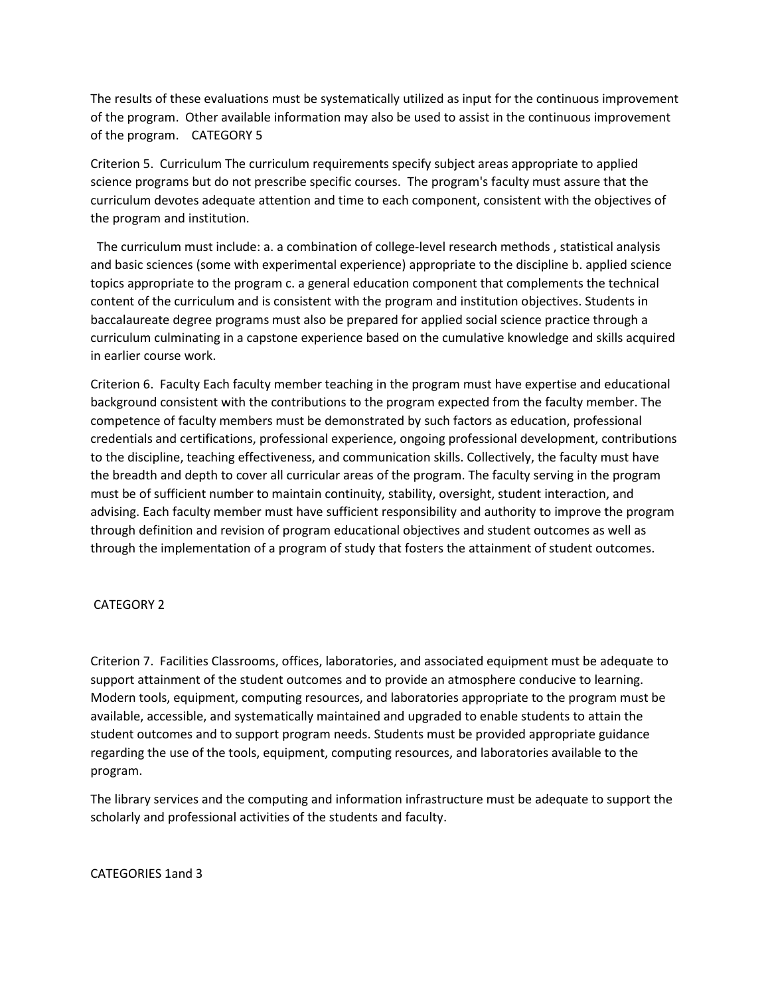The results of these evaluations must be systematically utilized as input for the continuous improvement of the program. Other available information may also be used to assist in the continuous improvement of the program. CATEGORY 5

Criterion 5. Curriculum The curriculum requirements specify subject areas appropriate to applied science programs but do not prescribe specific courses. The program's faculty must assure that the curriculum devotes adequate attention and time to each component, consistent with the objectives of the program and institution.

 The curriculum must include: a. a combination of college-level research methods , statistical analysis and basic sciences (some with experimental experience) appropriate to the discipline b. applied science topics appropriate to the program c. a general education component that complements the technical content of the curriculum and is consistent with the program and institution objectives. Students in baccalaureate degree programs must also be prepared for applied social science practice through a curriculum culminating in a capstone experience based on the cumulative knowledge and skills acquired in earlier course work.

Criterion 6. Faculty Each faculty member teaching in the program must have expertise and educational background consistent with the contributions to the program expected from the faculty member. The competence of faculty members must be demonstrated by such factors as education, professional credentials and certifications, professional experience, ongoing professional development, contributions to the discipline, teaching effectiveness, and communication skills. Collectively, the faculty must have the breadth and depth to cover all curricular areas of the program. The faculty serving in the program must be of sufficient number to maintain continuity, stability, oversight, student interaction, and advising. Each faculty member must have sufficient responsibility and authority to improve the program through definition and revision of program educational objectives and student outcomes as well as through the implementation of a program of study that fosters the attainment of student outcomes.

## CATEGORY 2

Criterion 7. Facilities Classrooms, offices, laboratories, and associated equipment must be adequate to support attainment of the student outcomes and to provide an atmosphere conducive to learning. Modern tools, equipment, computing resources, and laboratories appropriate to the program must be available, accessible, and systematically maintained and upgraded to enable students to attain the student outcomes and to support program needs. Students must be provided appropriate guidance regarding the use of the tools, equipment, computing resources, and laboratories available to the program.

The library services and the computing and information infrastructure must be adequate to support the scholarly and professional activities of the students and faculty.

CATEGORIES 1and 3